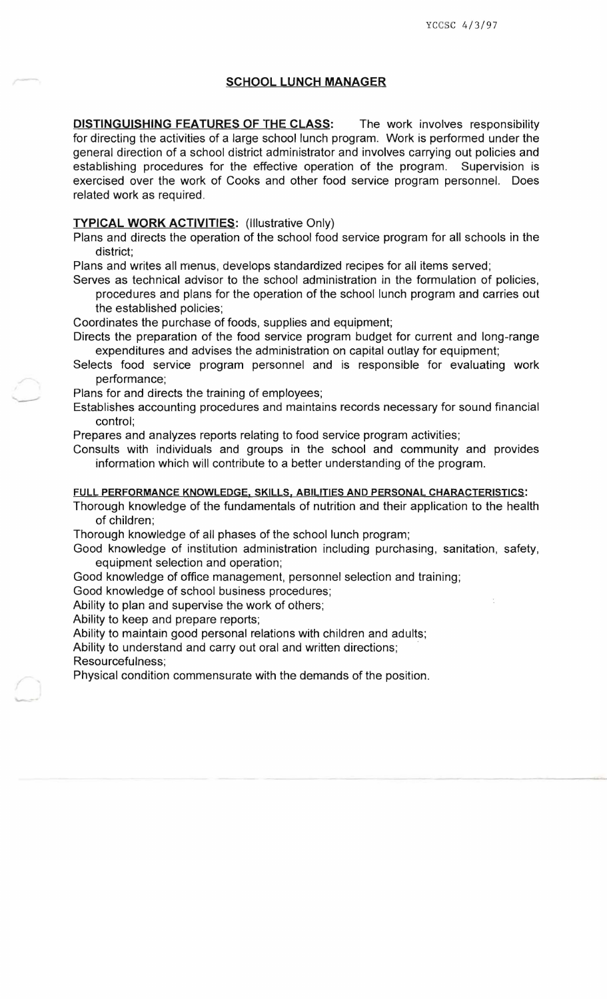# **SCHOOL LUNCH MANAGER**

**DISTINGUISHING FEATURES OF THE CLASS:** The work involves responsibility for directing the activities of a large school lunch program. Work is performed under the general direction of a school district administrator and involves carrying out policies and establishing procedures for the effective operation of the program. Supervision is exercised over the work of Cooks and other food service program personnel. Does related work as required.

## **TYPICAL WORK ACTIVITIES:** (Illustrative Only)

Plans and directs the operation of the school food service program for all schools in the district;

Plans and writes all menus, develops standardized recipes for all items served;

Serves as technical advisor to the school administration in the formulation of policies,

procedures and plans for the operation of the school lunch program and carries out the established policies;

Coordinates the purchase of foods, supplies and equipment;

Directs the preparation of the food service program budget for current and long-range expenditures and advises the administration on capital outlay for equipment;

Selects food service program personnel and is responsible for evaluating work performance;

Plans for and directs the training of employees;

Establishes accounting procedures and maintains records necessary for sound financial control;

Prepares and analyzes reports relating to food service program activities;

Consults with individuals and groups in the school and community and provides information which will contribute to a better understanding of the program.

#### **FULL PERFORMANCE KNOWLEDGE, SKILLS. ABILITIES AND PERSONAL CHARACTERISTICS:**

Thorough knowledge of the fundamentals of nutrition and their application to the health of children;

Thorough knowledge of all phases of the school lunch program;

Good knowledge of institution administration including purchasing, sanitation, safety, equipment selection and operation;

Good knowledge of office management, personnel selection and training;

Good knowledge of school business procedures;

Ability to plan and supervise the work of others;

Ability to keep and prepare reports;

Ability to maintain good personal relations with children and adults;

Ability to understand and carry out oral and written directions;

Resourcefulness;

Physical condition commensurate with the demands of the position.